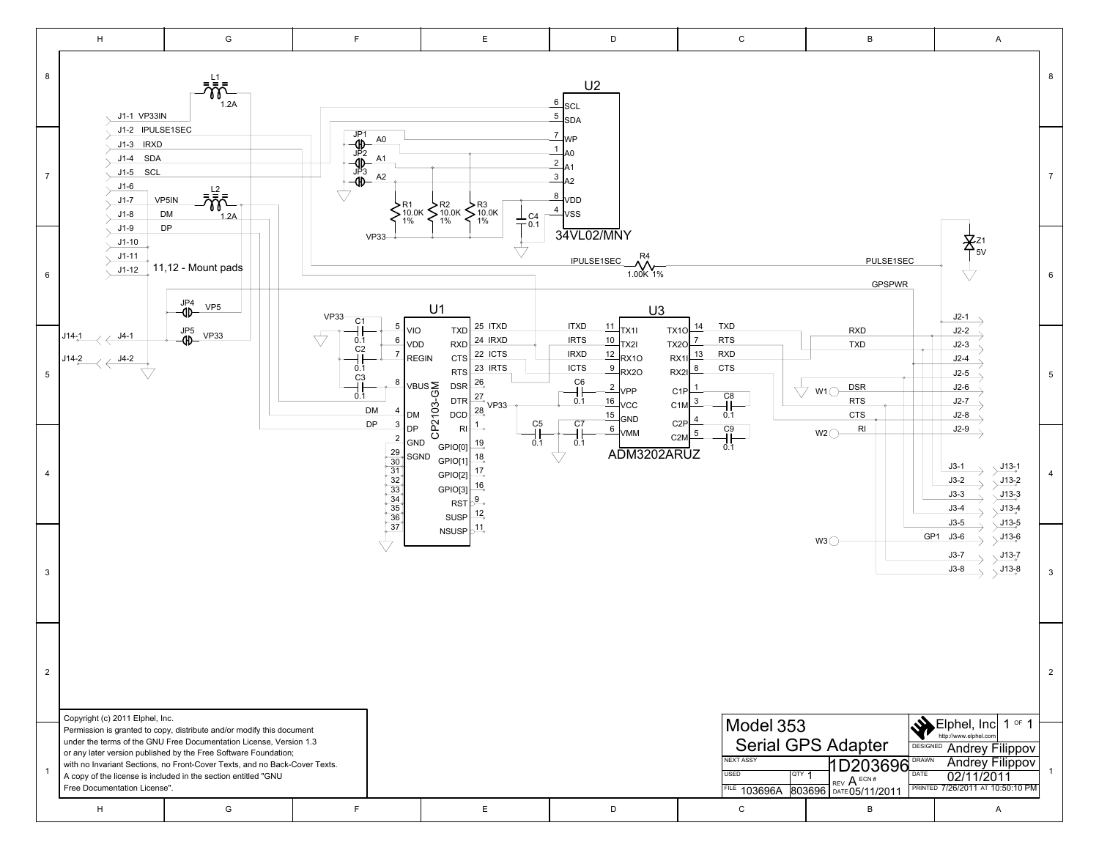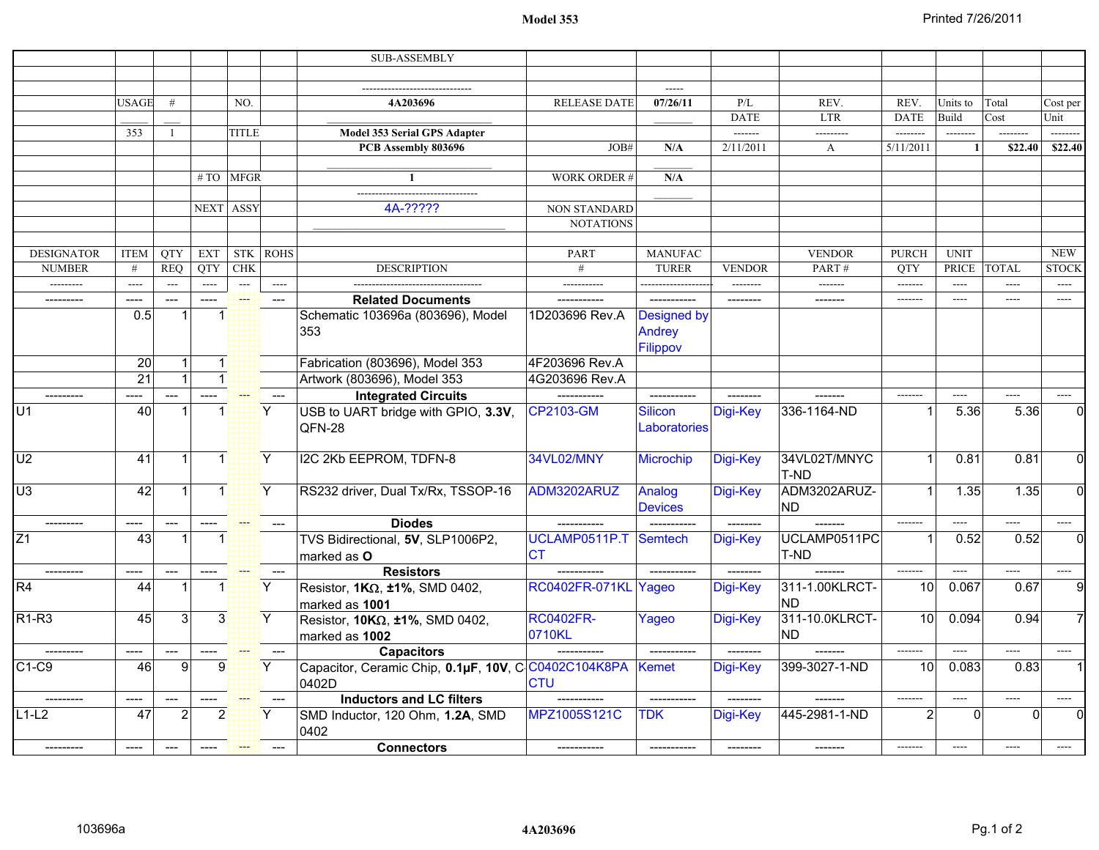## **Model 353**

|                            |                    |                                        |                        |                              |             | <b>SUB-ASSEMBLY</b>                                           |                      |                    |               |                  |                               |                   |              |                          |
|----------------------------|--------------------|----------------------------------------|------------------------|------------------------------|-------------|---------------------------------------------------------------|----------------------|--------------------|---------------|------------------|-------------------------------|-------------------|--------------|--------------------------|
|                            |                    |                                        |                        |                              |             |                                                               |                      |                    |               |                  |                               |                   |              |                          |
|                            |                    |                                        |                        |                              |             |                                                               |                      |                    |               |                  |                               |                   |              |                          |
|                            | <b>USAGE</b>       | #                                      |                        | NO.                          |             | 4A203696                                                      | <b>RELEASE DATE</b>  | 07/26/11           | P/L           | REV.             | REV.                          | Units to          | Total        | Cost per                 |
|                            |                    |                                        |                        |                              |             |                                                               |                      |                    | <b>DATE</b>   | <b>LTR</b>       | <b>DATE</b>                   | Build             | Cost         | Unit                     |
|                            | 353                | $\mathbf{1}$                           |                        | <b>TITLE</b>                 |             | <b>Model 353 Serial GPS Adapter</b>                           |                      |                    | -------       | ---------        | --------                      | $- - - - - - -$   |              | --------                 |
|                            |                    |                                        |                        |                              |             | PCB Assembly 803696                                           | JOB#                 | N/A                | 2/11/2011     | $\mathbf{A}$     | 5/11/2011                     | -1                | \$22.40      | \$22.40                  |
|                            |                    |                                        |                        |                              |             |                                                               |                      |                    |               |                  |                               |                   |              |                          |
|                            |                    |                                        |                        | #TO MFGR                     |             |                                                               | <b>WORK ORDER#</b>   | N/A                |               |                  |                               |                   |              |                          |
|                            |                    |                                        |                        |                              |             |                                                               |                      |                    |               |                  |                               |                   |              |                          |
|                            |                    |                                        | NEXT ASSY              |                              |             | 4A-?????                                                      | <b>NON STANDARD</b>  |                    |               |                  |                               |                   |              |                          |
|                            |                    |                                        |                        |                              |             |                                                               | <b>NOTATIONS</b>     |                    |               |                  |                               |                   |              |                          |
|                            |                    |                                        |                        |                              |             |                                                               |                      |                    |               |                  |                               |                   |              | <b>NEW</b>               |
| <b>DESIGNATOR</b>          | <b>ITEM</b>        | <b>QTY</b>                             | <b>EXT</b>             | <b>STK</b>                   | <b>ROHS</b> |                                                               | PART                 | <b>MANUFAC</b>     |               | <b>VENDOR</b>    | <b>PURCH</b>                  | <b>UNIT</b>       | <b>TOTAL</b> |                          |
| <b>NUMBER</b><br>--------- | #<br>$\frac{1}{2}$ | <b>REO</b><br>$\overline{\phantom{a}}$ | <b>OTY</b><br>$\cdots$ | <b>CHK</b><br>$\overline{a}$ | $---$       | <b>DESCRIPTION</b>                                            | #<br>-----------     | <b>TURER</b>       | <b>VENDOR</b> | PART#<br>------- | <b>OTY</b><br>$- - - - - - -$ | PRICE<br>$\cdots$ | $---$        | <b>STOCK</b><br>$\cdots$ |
|                            |                    |                                        | $---$                  | ₩                            |             |                                                               |                      |                    |               | -------          | $- - - - - - -$               | $\cdots$          | $---$        | $\cdots$                 |
|                            | ----<br>0.5        | $---$                                  | $\mathbf 1$            |                              | $---$       | <b>Related Documents</b><br>Schematic 103696a (803696), Model | 1D203696 Rev.A       | <b>Designed by</b> |               |                  |                               |                   |              |                          |
|                            |                    |                                        |                        |                              |             |                                                               |                      |                    |               |                  |                               |                   |              |                          |
|                            |                    |                                        |                        |                              |             | 353                                                           |                      | Andrey             |               |                  |                               |                   |              |                          |
|                            |                    |                                        |                        |                              |             |                                                               |                      | Filippov           |               |                  |                               |                   |              |                          |
|                            | 20                 | $\mathbf{1}$                           | $\blacktriangleleft$ : |                              |             | Fabrication (803696), Model 353                               | 4F203696 Rev.A       |                    |               |                  |                               |                   |              |                          |
|                            | $\overline{21}$    |                                        | $\mathbf{1}$           |                              |             | Artwork (803696), Model 353                                   | 4G203696 Rev.A       |                    |               |                  |                               |                   |              |                          |
|                            |                    | ---                                    |                        |                              |             | <b>Integrated Circuits</b>                                    |                      | ------------       |               |                  |                               | ----              |              |                          |
| U1                         | 40                 |                                        | $\mathbf 1$            |                              | Y.          | USB to UART bridge with GPIO, 3.3V,                           | <b>CP2103-GM</b>     | <b>Silicon</b>     | Digi-Key      | 336-1164-ND      |                               | 5.36              | 5.36         |                          |
|                            |                    |                                        |                        |                              |             | QFN-28                                                        |                      | Laboratories       |               |                  |                               |                   |              |                          |
|                            |                    |                                        |                        |                              |             |                                                               |                      |                    |               |                  |                               |                   |              |                          |
| U <sub>2</sub>             | 41                 | $\mathbf{1}$                           | $\blacktriangleleft$ : |                              | Y.          | I2C 2Kb EEPROM, TDFN-8                                        | 34VL02/MNY           | <b>Microchip</b>   | Digi-Key      | 34VL02T/MNYC     |                               | 0.81              | 0.81         | $\Omega$                 |
|                            |                    |                                        |                        |                              |             |                                                               |                      |                    |               | T-ND             |                               |                   |              |                          |
| U <sub>3</sub>             | 42                 | $\vert$ 1                              | $\overline{1}$         |                              | Y.          | RS232 driver, Dual Tx/Rx, TSSOP-16                            | ADM3202ARUZ          | Analog             | Digi-Key      | ADM3202ARUZ-     |                               | 1.35              | 1.35         | $\Omega$                 |
|                            |                    |                                        |                        |                              |             |                                                               |                      | <b>Devices</b>     |               | <b>ND</b>        |                               |                   |              |                          |
|                            | $---$              | $---$                                  |                        |                              |             | <b>Diodes</b>                                                 |                      |                    | $------$      | $- - - - - -$    | $------$                      | ----              | $---$        |                          |
| Z <sub>1</sub>             | 43                 | $\mathbf 1$                            | $\mathbf{1}$           |                              |             | TVS Bidirectional, 5V, SLP1006P2,                             | UCLAMP0511P.T        | Semtech            | Digi-Key      | UCLAMP0511PC     |                               | 0.52              | 0.52         | $\Omega$                 |
|                            |                    |                                        |                        |                              |             | marked as O                                                   | <b>CT</b>            |                    |               | T-ND             |                               |                   |              |                          |
|                            | ----               |                                        |                        |                              |             | <b>Resistors</b>                                              |                      |                    |               |                  | $- - - - - - -$               | ----              | $\cdots$     |                          |
| R4                         | 44                 | 1                                      | $\mathbf 1$            |                              | Y           | Resistor, $1K\Omega$ , $\pm 1\%$ , SMD 0402,                  | RC0402FR-071KL Yageo |                    | Digi-Key      | 311-1.00KLRCT-   | 10                            | 0.067             | 0.67         | q                        |
|                            |                    |                                        |                        |                              |             | marked as 1001                                                |                      |                    |               | <b>ND</b>        |                               |                   |              |                          |
| $R1-R3$                    | 45                 | 3                                      | 3 <sup>1</sup>         |                              | Y.          | Resistor, $10K\Omega$ , ±1%, SMD 0402,                        | <b>RC0402FR-</b>     | Yageo              | Digi-Key      | 311-10.0KLRCT-   | 10                            | 0.094             | 0.94         |                          |
|                            |                    |                                        |                        |                              |             | marked as 1002                                                | 0710KL               |                    |               | <b>ND</b>        |                               |                   |              |                          |
|                            | ----               |                                        |                        |                              |             | <b>Capacitors</b>                                             |                      |                    | --------      |                  | $\frac{1}{2}$                 | $---$             | $---$        |                          |
| $C1-C9$                    | 46                 | 9                                      | $\boldsymbol{9}$       |                              | Y.          | Capacitor, Ceramic Chip, 0.1µF, 10V, C C0402C104K8PA          |                      | <b>Kemet</b>       | Digi-Key      | 399-3027-1-ND    | 10                            | 0.083             | 0.83         |                          |
|                            |                    |                                        |                        |                              |             | 0402D                                                         | <b>CTU</b>           |                    |               |                  |                               |                   |              |                          |
|                            | ----               |                                        |                        |                              |             | <b>Inductors and LC filters</b>                               |                      |                    |               |                  | $- - - - - - -$               | ----              | $\cdots$     |                          |
| $L1-L2$                    | 47                 | $\overline{2}$                         | 2                      |                              | Υ           | SMD Inductor, 120 Ohm, 1.2A, SMD                              | MPZ1005S121C         | <b>TDK</b>         | Digi-Key      | 445-2981-1-ND    | 2                             | $\Omega$          |              |                          |
|                            |                    |                                        |                        |                              |             | 0402                                                          |                      |                    |               |                  |                               |                   |              |                          |
|                            | ----               |                                        |                        |                              |             | <b>Connectors</b>                                             |                      |                    |               |                  | $-----1$                      | ----              |              |                          |
|                            |                    |                                        |                        |                              |             |                                                               |                      |                    |               |                  |                               |                   |              |                          |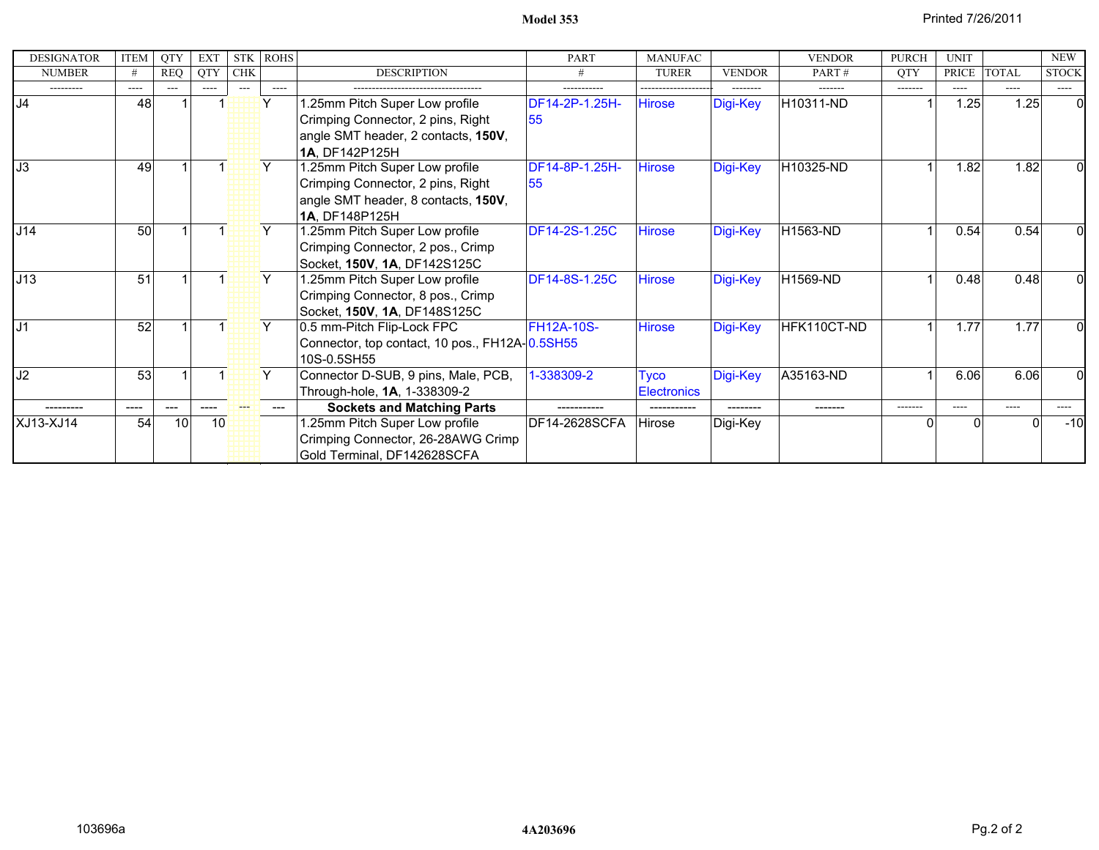**Model 353**

| <b>DESIGNATOR</b> | ITEM    | <b>QTY</b> | <b>EXT</b> | <b>STK</b> | <b>ROHS</b>  |                                                | <b>PART</b>          | <b>MANUFAC</b>     |               | <b>VENDOR</b> | <b>PURCH</b> | <b>UNIT</b>  |              | <b>NEW</b>   |
|-------------------|---------|------------|------------|------------|--------------|------------------------------------------------|----------------------|--------------------|---------------|---------------|--------------|--------------|--------------|--------------|
| <b>NUMBER</b>     | #       | <b>REQ</b> | QTY        | <b>CHK</b> |              | <b>DESCRIPTION</b>                             |                      | <b>TURER</b>       | <b>VENDOR</b> | PART#         | <b>QTY</b>   | <b>PRICE</b> | <b>TOTAL</b> | <b>STOCK</b> |
| ---------         | $-----$ | ---        | $\cdots$   | $---$      | $---$        |                                                | -----------          |                    | --------      | -------       | $-----$      | ----         | ----         | ----         |
| J <sub>4</sub>    | 48      |            |            |            | $\checkmark$ | .25mm Pitch Super Low profile                  | DF14-2P-1.25H-       | Hirose             | Digi-Key      | H10311-ND     |              | 1.25         | 1.25         | $\Omega$     |
|                   |         |            |            |            |              | Crimping Connector, 2 pins, Right              | 55                   |                    |               |               |              |              |              |              |
|                   |         |            |            |            |              | angle SMT header, 2 contacts, 150V,            |                      |                    |               |               |              |              |              |              |
|                   |         |            |            |            |              | 1A, DF142P125H                                 |                      |                    |               |               |              |              |              |              |
| J3                | 49      |            |            |            |              | .25mm Pitch Super Low profile                  | DF14-8P-1.25H-       | <b>Hirose</b>      | Digi-Key      | H10325-ND     |              | 1.82         | 1.82         |              |
|                   |         |            |            |            |              | Crimping Connector, 2 pins, Right              | 55                   |                    |               |               |              |              |              |              |
|                   |         |            |            |            |              | angle SMT header, 8 contacts, 150V,            |                      |                    |               |               |              |              |              |              |
|                   |         |            |            |            |              | 1A. DF148P125H                                 |                      |                    |               |               |              |              |              |              |
| J14               | 50      |            |            |            |              | 1.25mm Pitch Super Low profile                 | <b>DF14-2S-1.25C</b> | <b>Hirose</b>      | Digi-Key      | H1563-ND      |              | 0.54         | 0.54         |              |
|                   |         |            |            |            |              | Crimping Connector, 2 pos., Crimp              |                      |                    |               |               |              |              |              |              |
|                   |         |            |            |            |              | Socket, 150V, 1A, DF142S125C                   |                      |                    |               |               |              |              |              |              |
| J13               | 51      |            |            |            | Y.           | .25mm Pitch Super Low profile                  | DF14-8S-1.25C        | Hirose             | Digi-Key      | H1569-ND      |              | 0.48         | 0.48         |              |
|                   |         |            |            |            |              | Crimping Connector, 8 pos., Crimp              |                      |                    |               |               |              |              |              |              |
|                   |         |            |            |            |              | Socket, 150V, 1A, DF148S125C                   |                      |                    |               |               |              |              |              |              |
| J <sub>1</sub>    | 52      |            |            |            | Y            | 0.5 mm-Pitch Flip-Lock FPC                     | <b>FH12A-10S-</b>    | <b>Hirose</b>      | Digi-Key      | HFK110CT-ND   |              | 1.77         | 1.77         | N            |
|                   |         |            |            |            |              | Connector, top contact, 10 pos., FH12A-0.5SH55 |                      |                    |               |               |              |              |              |              |
|                   |         |            |            |            |              | 10S-0.5SH55                                    |                      |                    |               |               |              |              |              |              |
| J2                | 53      |            |            |            | Y            | Connector D-SUB, 9 pins, Male, PCB,            | 1-338309-2           | Tyco               | Digi-Key      | A35163-ND     |              | 6.06         | 6.06         |              |
|                   |         |            |            |            |              | Through-hole, 1A, 1-338309-2                   |                      | <b>Electronics</b> |               |               |              |              |              |              |
|                   | ----    |            |            |            |              | <b>Sockets and Matching Parts</b>              |                      |                    |               |               | -------      | ----         | ----         | ----         |
| XJ13-XJ14         | 54      | 10         |            | 10         |              | .25mm Pitch Super Low profile                  | DF14-2628SCFA        | Hirose             | Digi-Key      |               |              |              |              | $-10$        |
|                   |         |            |            |            |              | Crimping Connector, 26-28AWG Crimp             |                      |                    |               |               |              |              |              |              |
|                   |         |            |            |            |              | Gold Terminal, DF142628SCFA                    |                      |                    |               |               |              |              |              |              |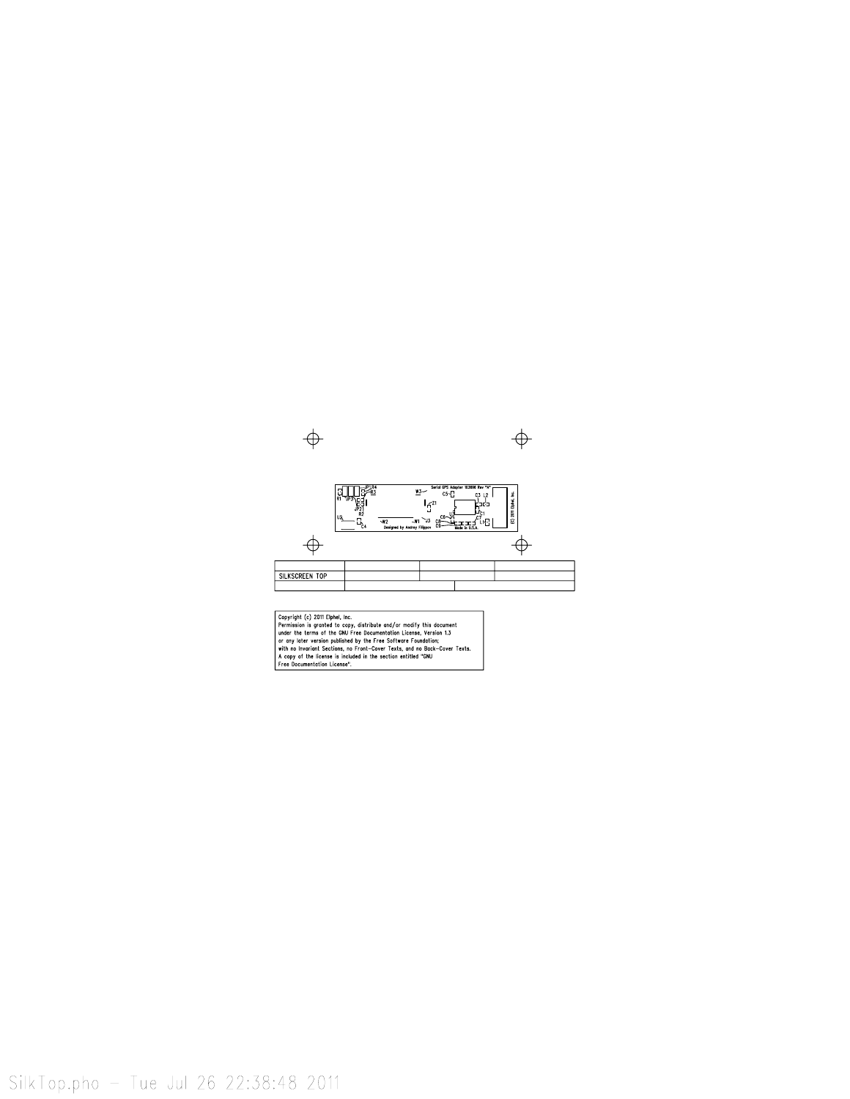

SilkTop.pho - Tue Jul 26 22:38:48 2011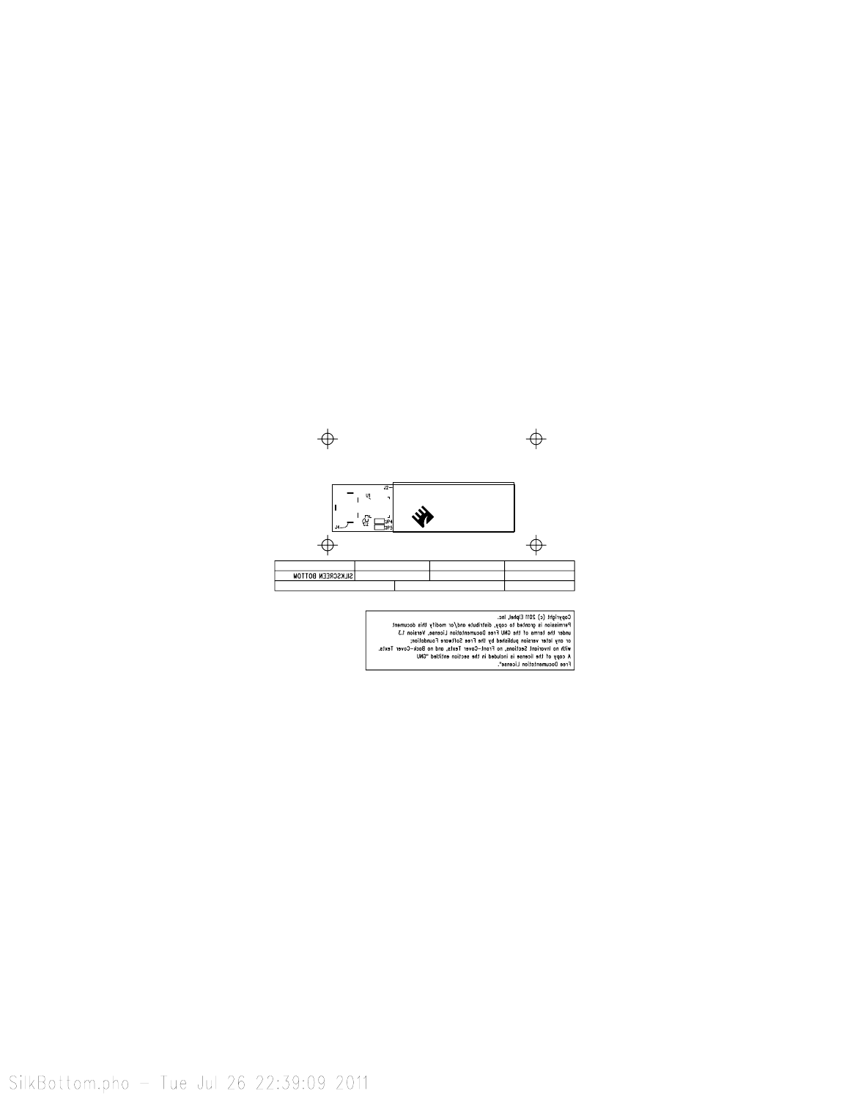

Copyright (c) 2011 Elphel, Inc.<br>
Permission is granted to capy, distribute and/or modify this document<br>
Permission is granted to capy, distribute and/or modify this document<br>
or any loter version published by the free Sof Texts.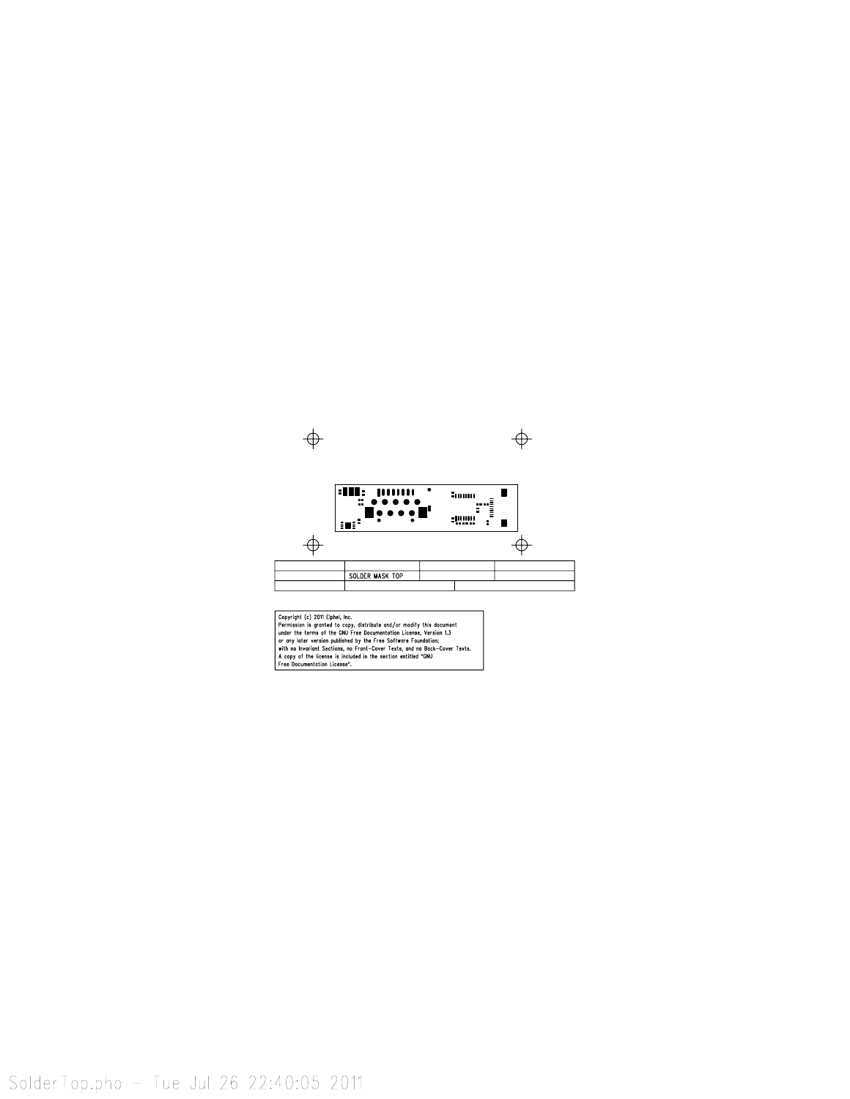

SolderTop.pho - Tue Jul 26 22:40:05 2011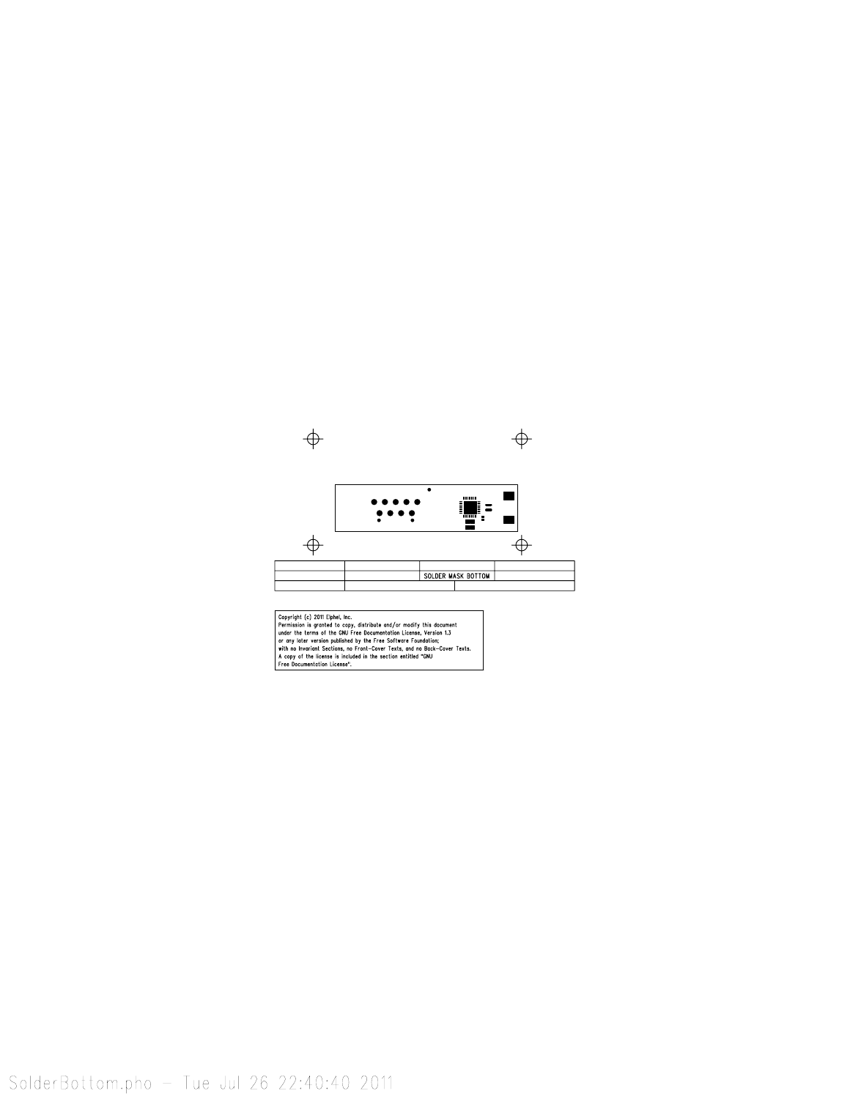

SolderBottom.pho - Tue Jul 26 22:40:40 2011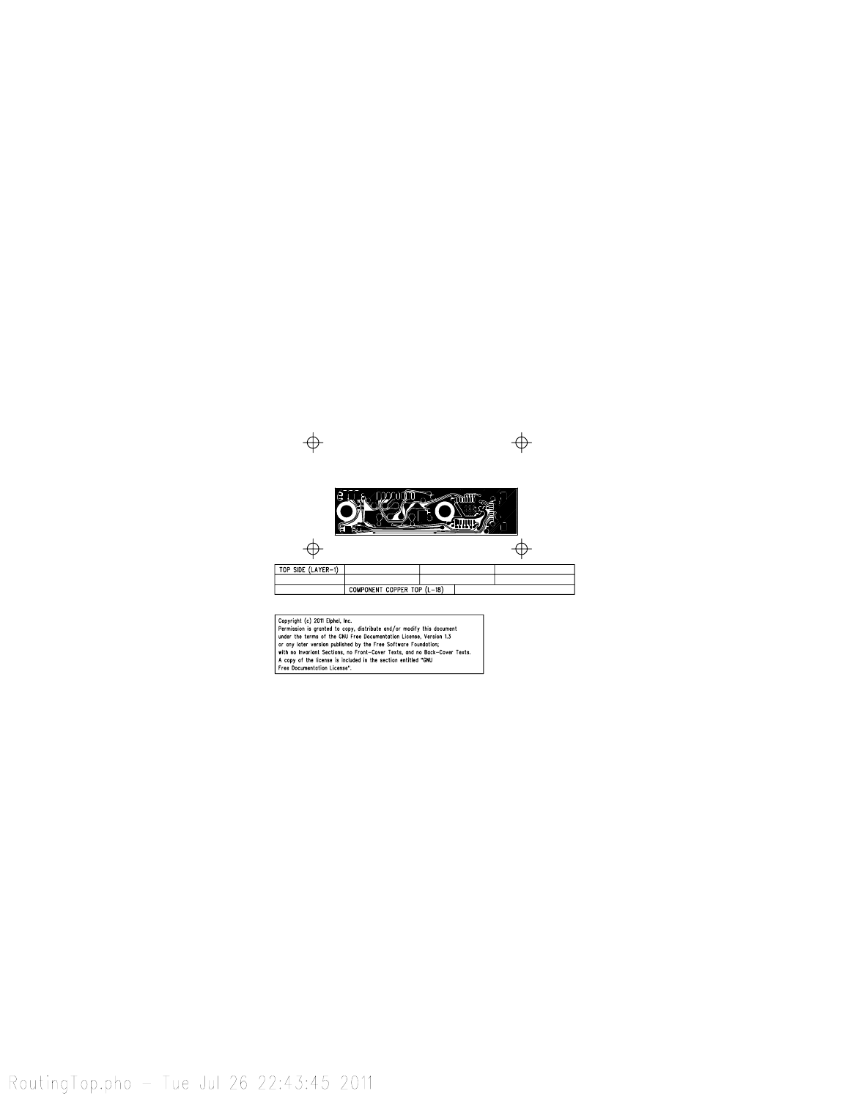

RoutingTop.pho - Tue Jul 26 22:43:45 2011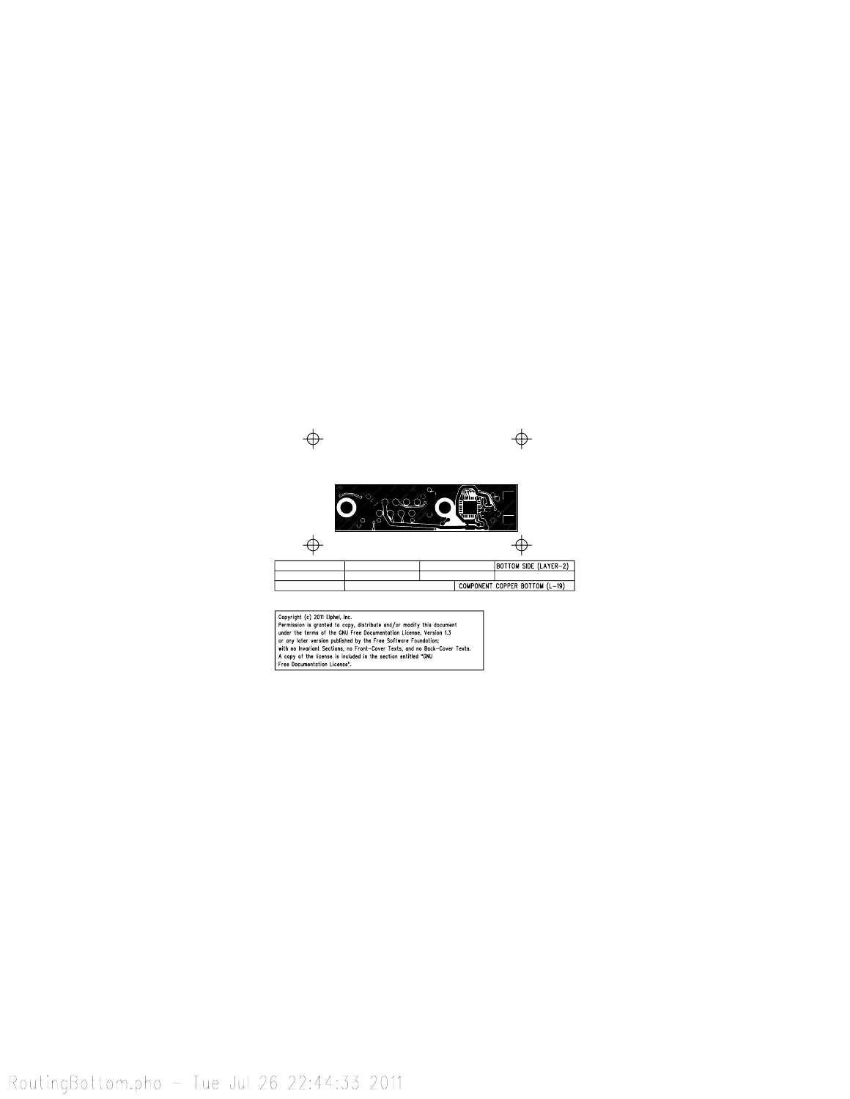

RoutingBottom.pho - Tue Jul 26 22:44:33 2011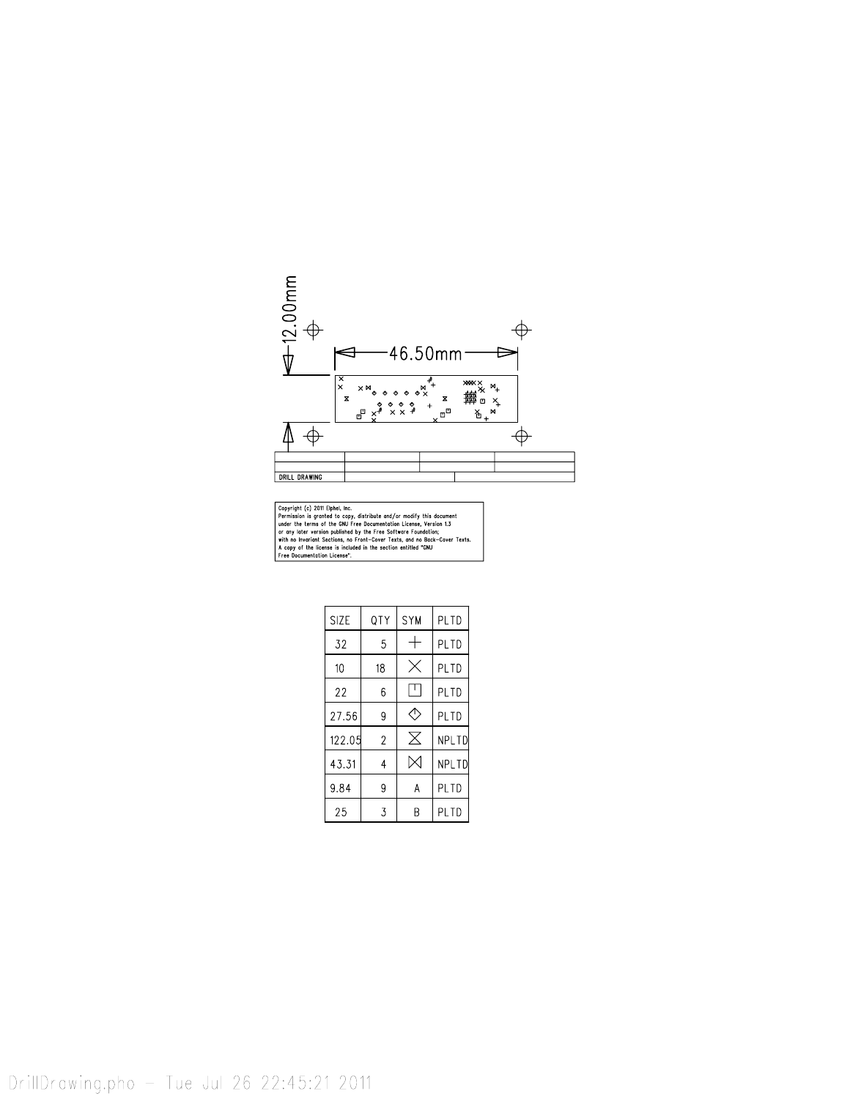

| <b>SIZE</b> | QTY            | <b>SYM</b> | PLTD  |  |  |
|-------------|----------------|------------|-------|--|--|
| 32          | 5              |            | PL TD |  |  |
| 10          | 18             |            | PI TD |  |  |
| 22          | 6              |            | PLTD  |  |  |
| 27.56       | 9              | Ð          | PLTD  |  |  |
| 122.05      | $\overline{2}$ | $\times$   | NPLTD |  |  |
| 43.31       | 4              |            | NPLTD |  |  |
| 9.84        | 9              | А          | PLTD  |  |  |
| 25          | 3              |            | PLTD  |  |  |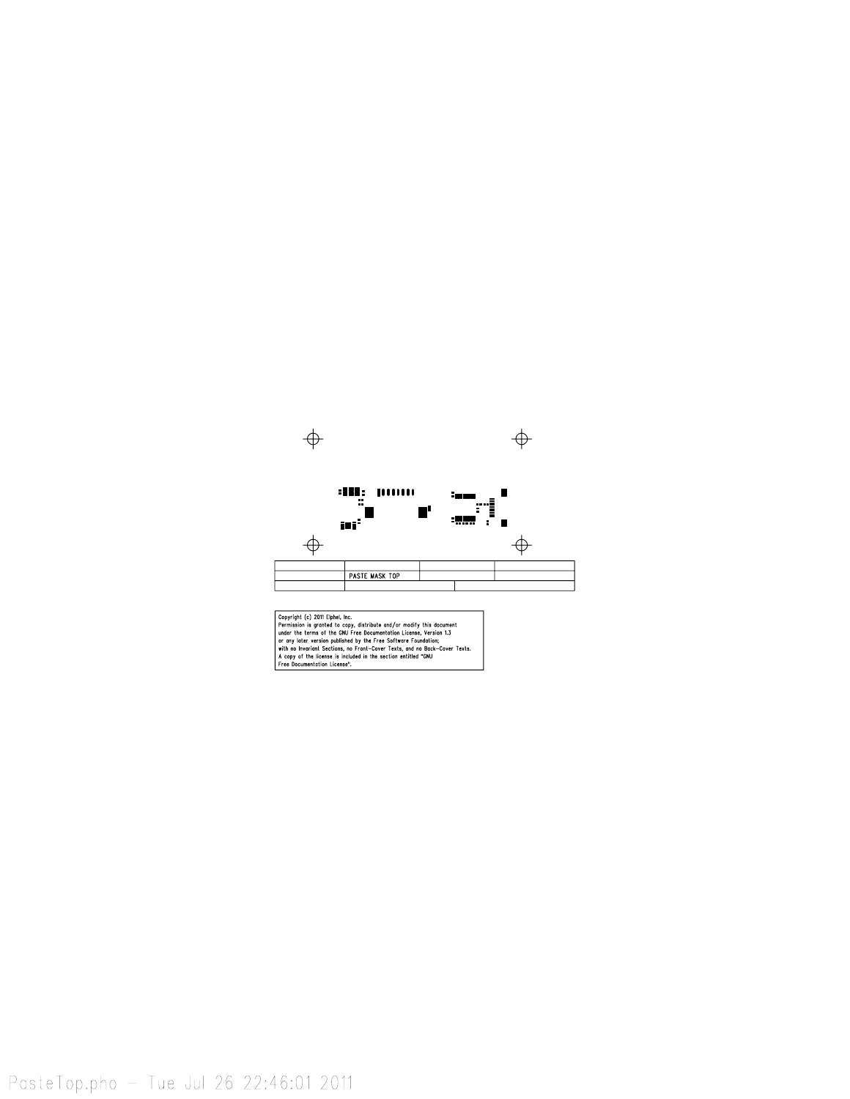

PasteTop.pho - Tue Jul 26 22:46:01 2011